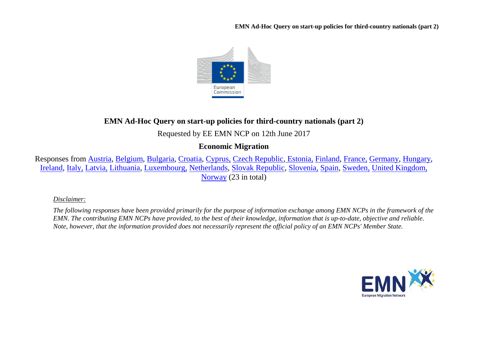**EMN Ad-Hoc Query on start-up policies for third-country nationals (part 2)**



## **EMN Ad-Hoc Query on start-up policies for third-country nationals (part 2)**

Requested by EE EMN NCP on 12th June 2017

**Economic Migration**

Responses from [Austria,](#page-1-0) [Belgium,](#page-3-0) [Bulgaria,](#page-3-1) [Croatia,](#page-3-2) [Cyprus,](#page-3-3) [Czech Republic,](#page-4-0) [Estonia,](#page-4-1) [Finland,](#page-6-0) [France,](#page-6-1) [Germany,](#page-7-0) [Hungary,](#page-7-1) [Ireland,](#page-7-2) [Italy,](#page-8-0) [Latvia,](#page-9-0) [Lithuania,](#page-10-0) [Luxembourg,](#page-10-1) [Netherlands,](#page-11-0) [Slovak Republic,](#page-11-1) [Slovenia,](#page-12-0) [Spain,](#page-12-1) [Sweden,](#page-13-0) [United Kingdom,](#page-14-0) [Norway](#page-14-1) (23 in total)

*Disclaimer:* 

*The following responses have been provided primarily for the purpose of information exchange among EMN NCPs in the framework of the EMN. The contributing EMN NCPs have provided, to the best of their knowledge, information that is up-to-date, objective and reliable. Note, however, that the information provided does not necessarily represent the official policy of an EMN NCPs' Member State.*

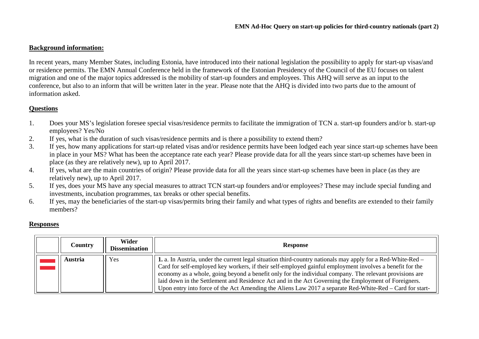## **Background information:**

In recent years, many Member States, including Estonia, have introduced into their national legislation the possibility to apply for start-up visas/and or residence permits. The EMN Annual Conference held in the framework of the Estonian Presidency of the Council of the EU focuses on talent migration and one of the major topics addressed is the mobility of start-up founders and employees. This AHQ will serve as an input to the conference, but also to an inform that will be written later in the year. Please note that the AHQ is divided into two parts due to the amount of information asked.

## **Questions**

- 1. Does your MS's legislation foresee special visas/residence permits to facilitate the immigration of TCN a. start-up founders and/or b. start-up employees? Yes/No
- 2. If yes, what is the duration of such visas/residence permits and is there a possibility to extend them?
- 3. If yes, how many applications for start-up related visas and/or residence permits have been lodged each year since start-up schemes have been in place in your MS? What has been the acceptance rate each year? Please provide data for all the years since start-up schemes have been in place (as they are relatively new), up to April 2017.
- 4. If yes, what are the main countries of origin? Please provide data for all the years since start-up schemes have been in place (as they are relatively new), up to April 2017.
- 5. If yes, does your MS have any special measures to attract TCN start-up founders and/or employees? These may include special funding and investments, incubation programmes, tax breaks or other special benefits.
- 6. If yes, may the beneficiaries of the start-up visas/permits bring their family and what types of rights and benefits are extended to their family members?

## **Responses**

<span id="page-1-0"></span>

| Country | Wider<br><b>Dissemination</b> | <b>Response</b>                                                                                                                                                                                                                                                                                                                                                                                                                                                                                                                                        |
|---------|-------------------------------|--------------------------------------------------------------------------------------------------------------------------------------------------------------------------------------------------------------------------------------------------------------------------------------------------------------------------------------------------------------------------------------------------------------------------------------------------------------------------------------------------------------------------------------------------------|
| Austria | Yes                           | 1. a. In Austria, under the current legal situation third-country nationals may apply for a Red-White-Red –<br>Card for self-employed key workers, if their self-employed gainful employment involves a benefit for the<br>economy as a whole, going beyond a benefit only for the individual company. The relevant provisions are<br>laid down in the Settlement and Residence Act and in the Act Governing the Employment of Foreigners.<br>Upon entry into force of the Act Amending the Aliens Law 2017 a separate Red-White-Red – Card for start- |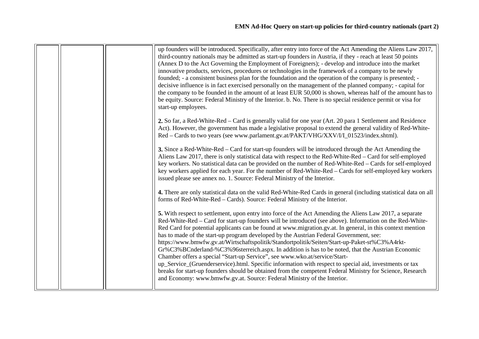|  | up founders will be introduced. Specifically, after entry into force of the Act Amending the Aliens Law 2017,                       |
|--|-------------------------------------------------------------------------------------------------------------------------------------|
|  | third-country nationals may be admitted as start-up founders in Austria, if they - reach at least 50 points                         |
|  | (Annex D to the Act Governing the Employment of Foreigners); - develop and introduce into the market                                |
|  | innovative products, services, procedures or technologies in the framework of a company to be newly                                 |
|  |                                                                                                                                     |
|  | founded; - a consistent business plan for the foundation and the operation of the company is presented; -                           |
|  | decisive influence is in fact exercised personally on the management of the planned company; - capital for                          |
|  | the company to be founded in the amount of at least EUR 50,000 is shown, whereas half of the amount has to                          |
|  | be equity. Source: Federal Ministry of the Interior. b. No. There is no special residence permit or visa for<br>start-up employees. |
|  |                                                                                                                                     |
|  | 2. So far, a Red-White-Red – Card is generally valid for one year (Art. 20 para 1 Settlement and Residence                          |
|  | Act). However, the government has made a legislative proposal to extend the general validity of Red-White-                          |
|  | Red - Cards to two years (see www.parlament.gv.at/PAKT/VHG/XXV/I/I_01523/index.shtml).                                              |
|  | 3. Since a Red-White-Red – Card for start-up founders will be introduced through the Act Amending the                               |
|  | Aliens Law 2017, there is only statistical data with respect to the Red-White-Red – Card for self-employed                          |
|  | key workers. No statistical data can be provided on the number of Red-White-Red – Cards for self-employed                           |
|  | key workers applied for each year. For the number of Red-White-Red – Cards for self-employed key workers                            |
|  | issued please see annex no. 1. Source: Federal Ministry of the Interior.                                                            |
|  | 4. There are only statistical data on the valid Red-White-Red Cards in general (including statistical data on all                   |
|  | forms of Red-White-Red – Cards). Source: Federal Ministry of the Interior.                                                          |
|  |                                                                                                                                     |
|  | 5. With respect to settlement, upon entry into force of the Act Amending the Aliens Law 2017, a separate                            |
|  | Red-White-Red – Card for start-up founders will be introduced (see above). Information on the Red-White-                            |
|  | Red Card for potential applicants can be found at www.migration.gv.at. In general, in this context mention                          |
|  | has to made of the start-up program developed by the Austrian Federal Government, see:                                              |
|  | https://www.bmwfw.gv.at/Wirtschaftspolitik/Standortpolitik/Seiten/Start-up-Paket-st%C3%A4rkt-                                       |
|  | Gr%C3%BCnderland-%C3%96sterreich.aspx. In addition is has to be noted, that the Austrian Economic                                   |
|  | Chamber offers a special "Start-up Service", see www.wko.at/service/Start-                                                          |
|  | up_Service_(Gruenderservice).html. Specific information with respect to special aid, investments or tax                             |
|  | breaks for start-up founders should be obtained from the competent Federal Ministry for Science, Research                           |
|  | and Economy: www.bmwfw.gv.at. Source: Federal Ministry of the Interior.                                                             |
|  |                                                                                                                                     |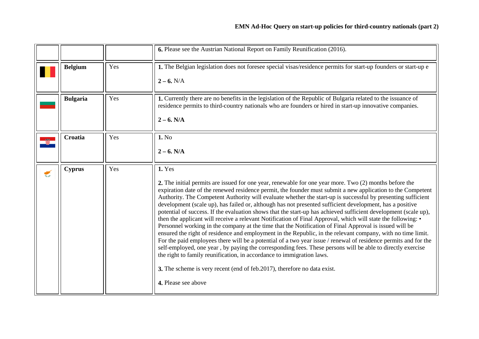<span id="page-3-3"></span><span id="page-3-2"></span><span id="page-3-1"></span><span id="page-3-0"></span>

|   |                 |     | 6. Please see the Austrian National Report on Family Reunification (2016).                                                                                                                                                                                                                                                                                                                                                                                                                                                                                                                                                                                                                                                                                                                                                                                                                                                                                                                                                                                                                                                                                                                                                                                                                                                                  |
|---|-----------------|-----|---------------------------------------------------------------------------------------------------------------------------------------------------------------------------------------------------------------------------------------------------------------------------------------------------------------------------------------------------------------------------------------------------------------------------------------------------------------------------------------------------------------------------------------------------------------------------------------------------------------------------------------------------------------------------------------------------------------------------------------------------------------------------------------------------------------------------------------------------------------------------------------------------------------------------------------------------------------------------------------------------------------------------------------------------------------------------------------------------------------------------------------------------------------------------------------------------------------------------------------------------------------------------------------------------------------------------------------------|
|   | <b>Belgium</b>  | Yes | 1. The Belgian legislation does not foresee special visas/residence permits for start-up founders or start-up e<br>$2 - 6. N/A$                                                                                                                                                                                                                                                                                                                                                                                                                                                                                                                                                                                                                                                                                                                                                                                                                                                                                                                                                                                                                                                                                                                                                                                                             |
|   | <b>Bulgaria</b> | Yes | 1. Currently there are no benefits in the legislation of the Republic of Bulgaria related to the issuance of<br>residence permits to third-country nationals who are founders or hired in start-up innovative companies.<br>$2 - 6. N/A$                                                                                                                                                                                                                                                                                                                                                                                                                                                                                                                                                                                                                                                                                                                                                                                                                                                                                                                                                                                                                                                                                                    |
|   | <b>Croatia</b>  | Yes | 1. No<br>$2 - 6. N/A$                                                                                                                                                                                                                                                                                                                                                                                                                                                                                                                                                                                                                                                                                                                                                                                                                                                                                                                                                                                                                                                                                                                                                                                                                                                                                                                       |
| € | <b>Cyprus</b>   | Yes | <b>1. Yes</b><br>2. The initial permits are issued for one year, renewable for one year more. Two (2) months before the<br>expiration date of the renewed residence permit, the founder must submit a new application to the Competent<br>Authority. The Competent Authority will evaluate whether the start-up is successful by presenting sufficient<br>development (scale up), has failed or, although has not presented sufficient development, has a positive<br>potential of success. If the evaluation shows that the start-up has achieved sufficient development (scale up),<br>then the applicant will receive a relevant Notification of Final Approval, which will state the following: •<br>Personnel working in the company at the time that the Notification of Final Approval is issued will be<br>ensured the right of residence and employment in the Republic, in the relevant company, with no time limit.<br>For the paid employees there will be a potential of a two year issue / renewal of residence permits and for the<br>self-employed, one year, by paying the corresponding fees. These persons will be able to directly exercise<br>the right to family reunification, in accordance to immigration laws.<br>3. The scheme is very recent (end of feb.2017), therefore no data exist.<br>4. Please see above |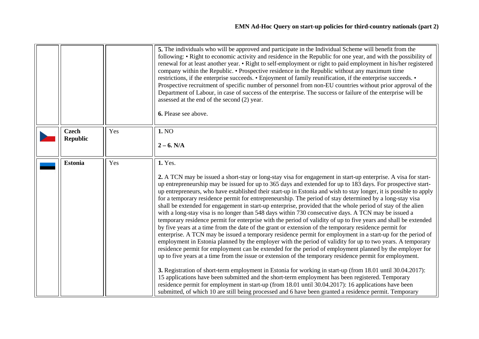<span id="page-4-1"></span><span id="page-4-0"></span>

|                                 |     | 5. The individuals who will be approved and participate in the Individual Scheme will benefit from the<br>following: • Right to economic activity and residence in the Republic for one year, and with the possibility of<br>renewal for at least another year. • Right to self-employment or right to paid employment in his/her registered<br>company within the Republic. • Prospective residence in the Republic without any maximum time<br>restrictions, if the enterprise succeeds. • Enjoyment of family reunification, if the enterprise succeeds. •<br>Prospective recruitment of specific number of personnel from non-EU countries without prior approval of the<br>Department of Labour, in case of success of the enterprise. The success or failure of the enterprise will be<br>assessed at the end of the second (2) year.<br>6. Please see above.                                                                                                                                                                                                                                                                                                                                                                                                                                                                                                                                                                                                                                                                                                                                                                                                                                                                                                                                                    |
|---------------------------------|-----|------------------------------------------------------------------------------------------------------------------------------------------------------------------------------------------------------------------------------------------------------------------------------------------------------------------------------------------------------------------------------------------------------------------------------------------------------------------------------------------------------------------------------------------------------------------------------------------------------------------------------------------------------------------------------------------------------------------------------------------------------------------------------------------------------------------------------------------------------------------------------------------------------------------------------------------------------------------------------------------------------------------------------------------------------------------------------------------------------------------------------------------------------------------------------------------------------------------------------------------------------------------------------------------------------------------------------------------------------------------------------------------------------------------------------------------------------------------------------------------------------------------------------------------------------------------------------------------------------------------------------------------------------------------------------------------------------------------------------------------------------------------------------------------------------------------------|
| <b>Czech</b><br><b>Republic</b> | Yes | 1. NO<br>$2 - 6. N/A$                                                                                                                                                                                                                                                                                                                                                                                                                                                                                                                                                                                                                                                                                                                                                                                                                                                                                                                                                                                                                                                                                                                                                                                                                                                                                                                                                                                                                                                                                                                                                                                                                                                                                                                                                                                                  |
| <b>Estonia</b>                  | Yes | 1. Yes.<br>2. A TCN may be issued a short-stay or long-stay visa for engagement in start-up enterprise. A visa for start-<br>up entrepreneurship may be issued for up to 365 days and extended for up to 183 days. For prospective start-<br>up entrepreneurs, who have established their start-up in Estonia and wish to stay longer, it is possible to apply<br>for a temporary residence permit for entrepreneurship. The period of stay determined by a long-stay visa<br>shall be extended for engagement in start-up enterprise, provided that the whole period of stay of the alien<br>with a long-stay visa is no longer than 548 days within 730 consecutive days. A TCN may be issued a<br>temporary residence permit for enterprise with the period of validity of up to five years and shall be extended<br>by five years at a time from the date of the grant or extension of the temporary residence permit for<br>enterprise. A TCN may be issued a temporary residence permit for employment in a start-up for the period of<br>employment in Estonia planned by the employer with the period of validity for up to two years. A temporary<br>residence permit for employment can be extended for the period of employment planned by the employer for<br>up to five years at a time from the issue or extension of the temporary residence permit for employment.<br>3. Registration of short-term employment in Estonia for working in start-up (from 18.01 until 30.04.2017):<br>15 applications have been submitted and the short-term employment has been registered. Temporary<br>residence permit for employment in start-up (from 18.01 until 30.04.2017): 16 applications have been<br>submitted, of which 10 are still being processed and 6 have been granted a residence permit. Temporary |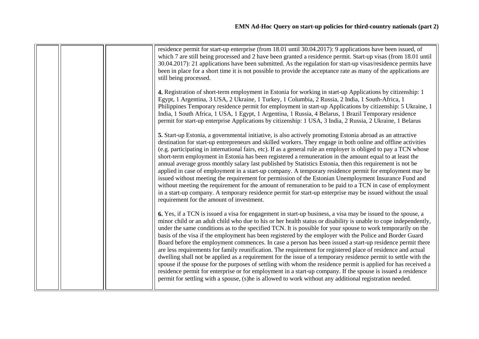| residence permit for start-up enterprise (from 18.01 until 30.04.2017): 9 applications have been issued, of<br>which 7 are still being processed and 2 have been granted a residence permit. Start-up visas (from 18.01 until<br>30.04.2017): 21 applications have been submitted. As the regulation for start-up visas/residence permits have<br>been in place for a short time it is not possible to provide the acceptance rate as many of the applications are<br>still being processed.                                                                                                                                                                                                                                                                                                                                                                                                                                                                                                                                                                                                                                                              |
|-----------------------------------------------------------------------------------------------------------------------------------------------------------------------------------------------------------------------------------------------------------------------------------------------------------------------------------------------------------------------------------------------------------------------------------------------------------------------------------------------------------------------------------------------------------------------------------------------------------------------------------------------------------------------------------------------------------------------------------------------------------------------------------------------------------------------------------------------------------------------------------------------------------------------------------------------------------------------------------------------------------------------------------------------------------------------------------------------------------------------------------------------------------|
| 4. Registration of short-term employment in Estonia for working in start-up Applications by citizenship: 1<br>Egypt, 1 Argentina, 3 USA, 2 Ukraine, 1 Turkey, 1 Columbia, 2 Russia, 2 India, 1 South-Africa, 1<br>Philippines Temporary residence permit for employment in start-up Applications by citizenship: 5 Ukraine, 1<br>India, 1 South Africa, 1 USA, 1 Egypt, 1 Argentina, 1 Russia, 4 Belarus, 1 Brazil Temporary residence<br>permit for start-up enterprise Applications by citizenship: 1 USA, 3 India, 2 Russia, 2 Ukraine, 1 Belarus                                                                                                                                                                                                                                                                                                                                                                                                                                                                                                                                                                                                      |
| 5. Start-up Estonia, a governmental initiative, is also actively promoting Estonia abroad as an attractive<br>destination for start-up entrepreneurs and skilled workers. They engage in both online and offline activities<br>(e.g. participating in international fairs, etc). If as a general rule an employer is obliged to pay a TCN whose<br>short-term employment in Estonia has been registered a remuneration in the amount equal to at least the<br>annual average gross monthly salary last published by Statistics Estonia, then this requirement is not be<br>applied in case of employment in a start-up company. A temporary residence permit for employment may be<br>issued without meeting the requirement for permission of the Estonian Unemployment Insurance Fund and<br>without meeting the requirement for the amount of remuneration to be paid to a TCN in case of employment<br>in a start-up company. A temporary residence permit for start-up enterprise may be issued without the usual<br>requirement for the amount of investment.                                                                                       |
| 6. Yes, if a TCN is issued a visa for engagement in start-up business, a visa may be issued to the spouse, a<br>minor child or an adult child who due to his or her health status or disability is unable to cope independently,<br>under the same conditions as to the specified TCN. It is possible for your spouse to work temporarily on the<br>basis of the visa if the employment has been registered by the employer with the Police and Border Guard<br>Board before the employment commences. In case a person has been issued a start-up residence permit there<br>are less requirements for family reunification. The requirement for registered place of residence and actual<br>dwelling shall not be applied as a requirement for the issue of a temporary residence permit to settle with the<br>spouse if the spouse for the purposes of settling with whom the residence permit is applied for has received a<br>residence permit for enterprise or for employment in a start-up company. If the spouse is issued a residence<br>permit for settling with a spouse, (s)he is allowed to work without any additional registration needed. |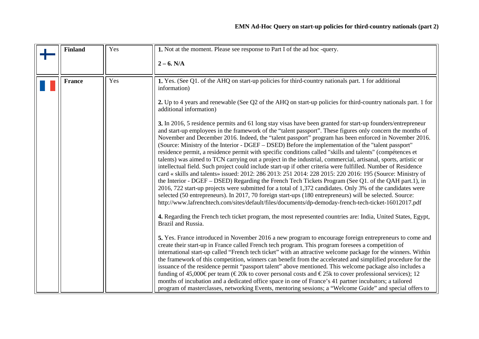<span id="page-6-1"></span><span id="page-6-0"></span>

| <b>Finland</b> | Yes | 1. Not at the moment. Please see response to Part I of the ad hoc -query.                                                                                                                                                                                                                                                                                                                                                                                                                                                                                                                                                                                                                                                                                                                                                                                                                                                                                                                                                                                                                                                                                                                                                                                                                                                                                                                                                                                                                                                                                                                                                                                                                                                                                                                                                                                                                                                                                                                                                                                                                                                                                                                                                                                                                                                                                                                                                                                 |
|----------------|-----|-----------------------------------------------------------------------------------------------------------------------------------------------------------------------------------------------------------------------------------------------------------------------------------------------------------------------------------------------------------------------------------------------------------------------------------------------------------------------------------------------------------------------------------------------------------------------------------------------------------------------------------------------------------------------------------------------------------------------------------------------------------------------------------------------------------------------------------------------------------------------------------------------------------------------------------------------------------------------------------------------------------------------------------------------------------------------------------------------------------------------------------------------------------------------------------------------------------------------------------------------------------------------------------------------------------------------------------------------------------------------------------------------------------------------------------------------------------------------------------------------------------------------------------------------------------------------------------------------------------------------------------------------------------------------------------------------------------------------------------------------------------------------------------------------------------------------------------------------------------------------------------------------------------------------------------------------------------------------------------------------------------------------------------------------------------------------------------------------------------------------------------------------------------------------------------------------------------------------------------------------------------------------------------------------------------------------------------------------------------------------------------------------------------------------------------------------------------|
|                |     | $2 - 6. N/A$                                                                                                                                                                                                                                                                                                                                                                                                                                                                                                                                                                                                                                                                                                                                                                                                                                                                                                                                                                                                                                                                                                                                                                                                                                                                                                                                                                                                                                                                                                                                                                                                                                                                                                                                                                                                                                                                                                                                                                                                                                                                                                                                                                                                                                                                                                                                                                                                                                              |
| <b>France</b>  | Yes | 1. Yes. (See Q1. of the AHQ on start-up policies for third-country nationals part. 1 for additional<br>information)<br>2. Up to 4 years and renewable (See Q2 of the AHQ on start-up policies for third-country nationals part. 1 for<br>additional information)<br>3. In 2016, 5 residence permits and 61 long stay visas have been granted for start-up founders/entrepreneur<br>and start-up employees in the framework of the "talent passport". These figures only concern the months of<br>November and December 2016. Indeed, the "talent passport" program has been enforced in November 2016.<br>(Source: Ministry of the Interior - DGEF – DSED) Before the implementation of the "talent passport"<br>residence permit, a residence permit with specific conditions called "skills and talents" (compétences et<br>talents) was aimed to TCN carrying out a project in the industrial, commercial, artisanal, sports, artistic or<br>intellectual field. Such project could include start-up if other criteria were fulfilled. Number of Residence<br>card « skills and talents» issued: 2012: 286 2013: 251 2014: 228 2015: 220 2016: 195 (Source: Ministry of<br>the Interior - DGEF – DSED) Regarding the French Tech Tickets Program (See Q1. of the QAH part.1), in<br>2016, 722 start-up projects were submitted for a total of 1,372 candidates. Only 3% of the candidates were<br>selected (50 entrepreneurs). In 2017, 70 foreign start-ups (180 entrepreneurs) will be selected. Source:<br>http://www.lafrenchtech.com/sites/default/files/documents/dp-demoday-french-tech-ticket-16012017.pdf<br>4. Regarding the French tech ticket program, the most represented countries are: India, United States, Egypt,<br>Brazil and Russia.<br>5. Yes. France introduced in November 2016 a new program to encourage foreign entrepreneurs to come and<br>create their start-up in France called French tech program. This program foresees a competition of<br>international start-up called "French tech ticket" with an attractive welcome package for the winners. Within<br>the framework of this competition, winners can benefit from the accelerated and simplified procedure for the<br>issuance of the residence permit "passport talent" above mentioned. This welcome package also includes a<br>funding of 45,000 Eper team ( $\epsilon$ 20k to cover personal costs and $\epsilon$ 25k to cover professional services); 12 |
|                |     | months of incubation and a dedicated office space in one of France's 41 partner incubators; a tailored<br>program of masterclasses, networking Events, mentoring sessions; a "Welcome Guide" and special offers to                                                                                                                                                                                                                                                                                                                                                                                                                                                                                                                                                                                                                                                                                                                                                                                                                                                                                                                                                                                                                                                                                                                                                                                                                                                                                                                                                                                                                                                                                                                                                                                                                                                                                                                                                                                                                                                                                                                                                                                                                                                                                                                                                                                                                                        |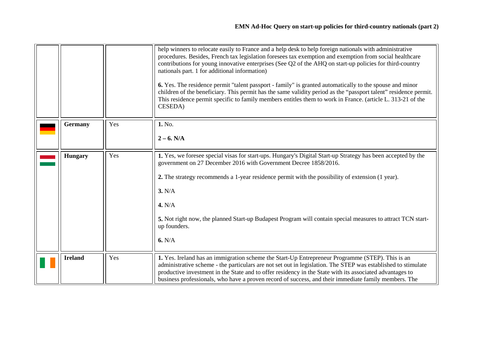<span id="page-7-2"></span><span id="page-7-1"></span><span id="page-7-0"></span>

|                |     | help winners to relocate easily to France and a help desk to help foreign nationals with administrative<br>procedures. Besides, French tax legislation foresees tax exemption and exemption from social healthcare<br>contributions for young innovative enterprises (See Q2 of the AHQ on start-up policies for third-country<br>nationals part. 1 for additional information)<br>6. Yes. The residence permit "talent passport - family" is granted automatically to the spouse and minor<br>children of the beneficiary. This permit has the same validity period as the "passport talent" residence permit.<br>This residence permit specific to family members entitles them to work in France. (article L. 313-21 of the<br><b>CESEDA</b> ) |
|----------------|-----|---------------------------------------------------------------------------------------------------------------------------------------------------------------------------------------------------------------------------------------------------------------------------------------------------------------------------------------------------------------------------------------------------------------------------------------------------------------------------------------------------------------------------------------------------------------------------------------------------------------------------------------------------------------------------------------------------------------------------------------------------|
| <b>Germany</b> | Yes | 1. No.                                                                                                                                                                                                                                                                                                                                                                                                                                                                                                                                                                                                                                                                                                                                            |
|                |     | $2 - 6. N/A$                                                                                                                                                                                                                                                                                                                                                                                                                                                                                                                                                                                                                                                                                                                                      |
| <b>Hungary</b> | Yes | 1. Yes, we foresee special visas for start-ups. Hungary's Digital Start-up Strategy has been accepted by the<br>government on 27 December 2016 with Government Decree 1858/2016.<br>2. The strategy recommends a 1-year residence permit with the possibility of extension (1 year).<br>3. N/A<br>4. N/A<br>5. Not right now, the planned Start-up Budapest Program will contain special measures to attract TCN start-<br>up founders.<br>6. N/A                                                                                                                                                                                                                                                                                                 |
| <b>Ireland</b> | Yes | 1. Yes. Ireland has an immigration scheme the Start-Up Entrepreneur Programme (STEP). This is an<br>administrative scheme - the particulars are not set out in legislation. The STEP was established to stimulate<br>productive investment in the State and to offer residency in the State with its associated advantages to<br>business professionals, who have a proven record of success, and their immediate family members. The                                                                                                                                                                                                                                                                                                             |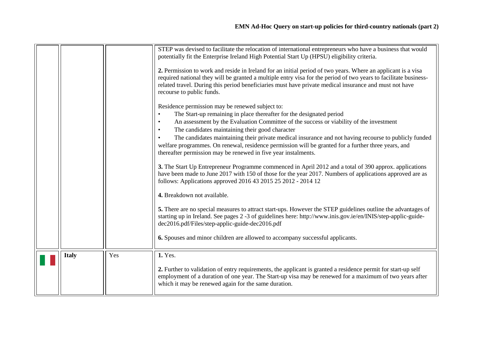<span id="page-8-0"></span>

|              |     | STEP was devised to facilitate the relocation of international entrepreneurs who have a business that would                                                                                                                                                                                                                                                             |
|--------------|-----|-------------------------------------------------------------------------------------------------------------------------------------------------------------------------------------------------------------------------------------------------------------------------------------------------------------------------------------------------------------------------|
|              |     | potentially fit the Enterprise Ireland High Potential Start Up (HPSU) eligibility criteria.                                                                                                                                                                                                                                                                             |
|              |     | 2. Permission to work and reside in Ireland for an initial period of two years. Where an applicant is a visa<br>required national they will be granted a multiple entry visa for the period of two years to facilitate business-<br>related travel. During this period beneficiaries must have private medical insurance and must not have<br>recourse to public funds. |
|              |     | Residence permission may be renewed subject to:<br>The Start-up remaining in place thereafter for the designated period<br>An assessment by the Evaluation Committee of the success or viability of the investment<br>The candidates maintaining their good character                                                                                                   |
|              |     | The candidates maintaining their private medical insurance and not having recourse to publicly funded<br>welfare programmes. On renewal, residence permission will be granted for a further three years, and<br>thereafter permission may be renewed in five year instalments.                                                                                          |
|              |     | 3. The Start Up Entrepreneur Programme commenced in April 2012 and a total of 390 approx. applications<br>have been made to June 2017 with 150 of those for the year 2017. Numbers of applications approved are as<br>follows: Applications approved 2016 43 2015 25 2012 - 2014 12                                                                                     |
|              |     | 4. Breakdown not available.                                                                                                                                                                                                                                                                                                                                             |
|              |     | 5. There are no special measures to attract start-ups. However the STEP guidelines outline the advantages of<br>starting up in Ireland. See pages 2 -3 of guidelines here: http://www.inis.gov.ie/en/INIS/step-applic-guide-<br>dec2016.pdf/Files/step-applic-guide-dec2016.pdf                                                                                         |
|              |     | 6. Spouses and minor children are allowed to accompany successful applicants.                                                                                                                                                                                                                                                                                           |
| <b>Italy</b> | Yes | 1. Yes.                                                                                                                                                                                                                                                                                                                                                                 |
|              |     | 2. Further to validation of entry requirements, the applicant is granted a residence permit for start-up self<br>employment of a duration of one year. The Start-up visa may be renewed for a maximum of two years after<br>which it may be renewed again for the same duration.                                                                                        |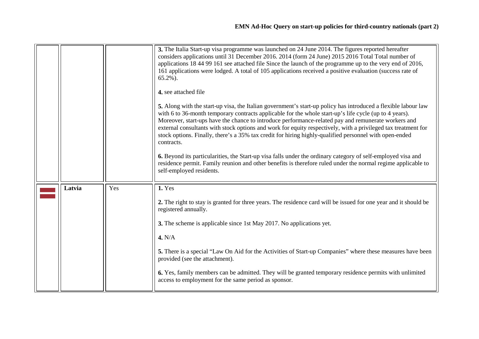<span id="page-9-0"></span>

|        |     | 3. The Italia Start-up visa programme was launched on 24 June 2014. The figures reported hereafter<br>considers applications until 31 December 2016. 2014 (form 24 June) 2015 2016 Total Total number of<br>applications 18 44 99 161 see attached file Since the launch of the programme up to the very end of 2016,<br>161 applications were lodged. A total of 105 applications received a positive evaluation (success rate of<br>$65.2\%$ ).<br>4. see attached file<br>5. Along with the start-up visa, the Italian government's start-up policy has introduced a flexible labour law<br>with 6 to 36-month temporary contracts applicable for the whole start-up's life cycle (up to 4 years).<br>Moreover, start-ups have the chance to introduce performance-related pay and remunerate workers and<br>external consultants with stock options and work for equity respectively, with a privileged tax treatment for<br>stock options. Finally, there's a 35% tax credit for hiring highly-qualified personnel with open-ended<br>contracts.<br>6. Beyond its particularities, the Start-up visa falls under the ordinary category of self-employed visa and<br>residence permit. Family reunion and other benefits is therefore ruled under the normal regime applicable to<br>self-employed residents. |
|--------|-----|-------------------------------------------------------------------------------------------------------------------------------------------------------------------------------------------------------------------------------------------------------------------------------------------------------------------------------------------------------------------------------------------------------------------------------------------------------------------------------------------------------------------------------------------------------------------------------------------------------------------------------------------------------------------------------------------------------------------------------------------------------------------------------------------------------------------------------------------------------------------------------------------------------------------------------------------------------------------------------------------------------------------------------------------------------------------------------------------------------------------------------------------------------------------------------------------------------------------------------------------------------------------------------------------------------------------|
| Latvia | Yes | 1. Yes<br>2. The right to stay is granted for three years. The residence card will be issued for one year and it should be<br>registered annually.<br>3. The scheme is applicable since 1st May 2017. No applications yet.<br>4. N/A<br>5. There is a special "Law On Aid for the Activities of Start-up Companies" where these measures have been<br>provided (see the attachment).<br>6. Yes, family members can be admitted. They will be granted temporary residence permits with unlimited<br>access to employment for the same period as sponsor.                                                                                                                                                                                                                                                                                                                                                                                                                                                                                                                                                                                                                                                                                                                                                           |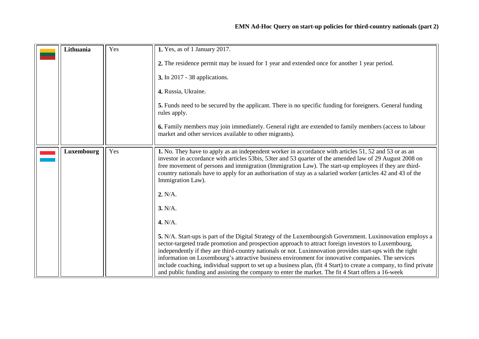<span id="page-10-1"></span><span id="page-10-0"></span>

| Lithuania         | Yes | 1. Yes, as of 1 January 2017.                                                                                                                                                                                                                                                                                                                                                                                                                                                                                                                                                                                                                                     |
|-------------------|-----|-------------------------------------------------------------------------------------------------------------------------------------------------------------------------------------------------------------------------------------------------------------------------------------------------------------------------------------------------------------------------------------------------------------------------------------------------------------------------------------------------------------------------------------------------------------------------------------------------------------------------------------------------------------------|
|                   |     | 2. The residence permit may be issued for 1 year and extended once for another 1 year period.                                                                                                                                                                                                                                                                                                                                                                                                                                                                                                                                                                     |
|                   |     | <b>3.</b> In 2017 - 38 applications.                                                                                                                                                                                                                                                                                                                                                                                                                                                                                                                                                                                                                              |
|                   |     | 4. Russia, Ukraine.                                                                                                                                                                                                                                                                                                                                                                                                                                                                                                                                                                                                                                               |
|                   |     | 5. Funds need to be secured by the applicant. There is no specific funding for foreigners. General funding<br>rules apply.                                                                                                                                                                                                                                                                                                                                                                                                                                                                                                                                        |
|                   |     | 6. Family members may join immediately. General right are extended to family members (access to labour<br>market and other services available to other migrants).                                                                                                                                                                                                                                                                                                                                                                                                                                                                                                 |
| <b>Luxembourg</b> | Yes | 1. No. They have to apply as an independent worker in accordance with articles 51, 52 and 53 or as an<br>investor in accordance with articles 53bis, 53ter and 53 quarter of the amended law of 29 August 2008 on<br>free movement of persons and immigration (Immigration Law). The start-up employees if they are third-<br>country nationals have to apply for an authorisation of stay as a salaried worker (articles 42 and 43 of the<br>Immigration Law).                                                                                                                                                                                                   |
|                   |     | 2. N/A.                                                                                                                                                                                                                                                                                                                                                                                                                                                                                                                                                                                                                                                           |
|                   |     | 3. N/A.                                                                                                                                                                                                                                                                                                                                                                                                                                                                                                                                                                                                                                                           |
|                   |     | 4. N/A.                                                                                                                                                                                                                                                                                                                                                                                                                                                                                                                                                                                                                                                           |
|                   |     | 5. N/A. Start-ups is part of the Digital Strategy of the Luxembourgish Government. Luxinnovation employs a<br>sector-targeted trade promotion and prospection approach to attract foreign investors to Luxembourg,<br>independently if they are third-country nationals or not. Luxinnovation provides start-ups with the right<br>information on Luxembourg's attractive business environment for innovative companies. The services<br>include coaching, individual support to set up a business plan, (fit 4 Start) to create a company, to find private<br>and public funding and assisting the company to enter the market. The fit 4 Start offers a 16-week |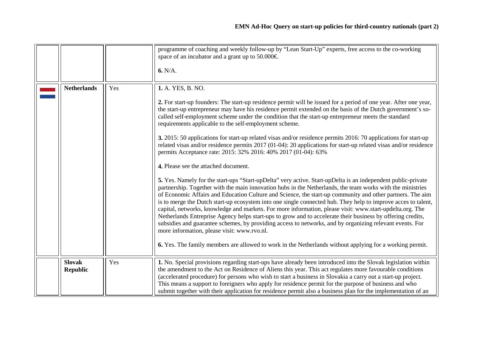<span id="page-11-1"></span><span id="page-11-0"></span>

|                                  |     | programme of coaching and weekly follow-up by "Lean Start-Up" experts, free access to the co-working<br>space of an incubator and a grant up to 50.000€<br>6. N/A.                                                                                                                                                                                                                                                                                                                                                                                                                                                                                                                                                                                                                                                                                                                                                                                                                                                                                                                                                                                                                                                                                                                                                                                                                                                                                                                                                                                                                                                                                                                                                                   |
|----------------------------------|-----|--------------------------------------------------------------------------------------------------------------------------------------------------------------------------------------------------------------------------------------------------------------------------------------------------------------------------------------------------------------------------------------------------------------------------------------------------------------------------------------------------------------------------------------------------------------------------------------------------------------------------------------------------------------------------------------------------------------------------------------------------------------------------------------------------------------------------------------------------------------------------------------------------------------------------------------------------------------------------------------------------------------------------------------------------------------------------------------------------------------------------------------------------------------------------------------------------------------------------------------------------------------------------------------------------------------------------------------------------------------------------------------------------------------------------------------------------------------------------------------------------------------------------------------------------------------------------------------------------------------------------------------------------------------------------------------------------------------------------------------|
| <b>Netherlands</b>               | Yes | 1. A. YES, B. NO.<br>2. For start-up founders: The start-up residence permit will be issued for a period of one year. After one year,<br>the start-up entrepreneur may have his residence permit extended on the basis of the Dutch government's so-<br>called self-employment scheme under the condition that the start-up entrepreneur meets the standard<br>requirements applicable to the self-employment scheme.<br>3. 2015: 50 applications for start-up related visas and/or residence permits 2016: 70 applications for start-up<br>related visas and/or residence permits 2017 (01-04): 20 applications for start-up related visas and/or residence<br>permits Acceptance rate: 2015: 32% 2016: 40% 2017 (01-04): 63%<br>4. Please see the attached document.<br>5. Yes. Namely for the start-ups "Start-upDelta" very active. Start-upDelta is an independent public-private<br>partnership. Together with the main innovation hubs in the Netherlands, the team works with the ministries<br>of Economic Affairs and Education Culture and Science, the start-up community and other partners. The aim<br>is to merge the Dutch start-up ecosystem into one single connected hub. They help to improve acces to talent,<br>capital, networks, knowledge and markets. For more information, please visit: www.start-updelta.org. The<br>Netherlands Entreprise Agency helps start-ups to grow and to accelerate their business by offering credits,<br>subsidies and guarantee schemes, by providing access to networks, and by organizing relevant events. For<br>more information, please visit: www.rvo.nl.<br>6. Yes. The family members are allowed to work in the Netherlands without applying for a working permit. |
| <b>Slovak</b><br><b>Republic</b> | Yes | 1. No. Special provisions regarding start-ups have already been introduced into the Slovak legislation within<br>the amendment to the Act on Residence of Aliens this year. This act regulates more favourable conditions<br>(accelerated procedure) for persons who wish to start a business in Slovakia a carry out a start-up project.<br>This means a support to foreigners who apply for residence permit for the purpose of business and who<br>submit together with their application for residence permit also a business plan for the implementation of an                                                                                                                                                                                                                                                                                                                                                                                                                                                                                                                                                                                                                                                                                                                                                                                                                                                                                                                                                                                                                                                                                                                                                                  |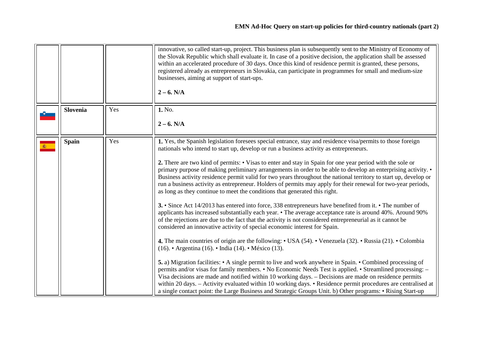<span id="page-12-1"></span><span id="page-12-0"></span>

|              |     | innovative, so called start-up, project. This business plan is subsequently sent to the Ministry of Economy of<br>the Slovak Republic which shall evaluate it. In case of a positive decision, the application shall be assessed<br>within an accelerated procedure of 30 days. Once this kind of residence permit is granted, these persons,<br>registered already as entrepreneurs in Slovakia, can participate in programmes for small and medium-size<br>businesses, aiming at support of start-ups.<br>$2 - 6. N/A$                                                                                                                                                                                                                                                                                                                                                                                                                                                                                                                                                                                                                                                                                                                                                                                                                                                                                                                                                                                                                                                                                                                                                                                                                                                                                                                                                                                            |
|--------------|-----|---------------------------------------------------------------------------------------------------------------------------------------------------------------------------------------------------------------------------------------------------------------------------------------------------------------------------------------------------------------------------------------------------------------------------------------------------------------------------------------------------------------------------------------------------------------------------------------------------------------------------------------------------------------------------------------------------------------------------------------------------------------------------------------------------------------------------------------------------------------------------------------------------------------------------------------------------------------------------------------------------------------------------------------------------------------------------------------------------------------------------------------------------------------------------------------------------------------------------------------------------------------------------------------------------------------------------------------------------------------------------------------------------------------------------------------------------------------------------------------------------------------------------------------------------------------------------------------------------------------------------------------------------------------------------------------------------------------------------------------------------------------------------------------------------------------------------------------------------------------------------------------------------------------------|
| Slovenia     | Yes | 1. No.                                                                                                                                                                                                                                                                                                                                                                                                                                                                                                                                                                                                                                                                                                                                                                                                                                                                                                                                                                                                                                                                                                                                                                                                                                                                                                                                                                                                                                                                                                                                                                                                                                                                                                                                                                                                                                                                                                              |
|              |     | $2 - 6. N/A$                                                                                                                                                                                                                                                                                                                                                                                                                                                                                                                                                                                                                                                                                                                                                                                                                                                                                                                                                                                                                                                                                                                                                                                                                                                                                                                                                                                                                                                                                                                                                                                                                                                                                                                                                                                                                                                                                                        |
| <b>Spain</b> | Yes | 1. Yes, the Spanish legislation foresees special entrance, stay and residence visa/permits to those foreign<br>nationals who intend to start up, develop or run a business activity as entrepreneurs.<br>2. There are two kind of permits: • Visas to enter and stay in Spain for one year period with the sole or<br>primary purpose of making preliminary arrangements in order to be able to develop an enterprising activity. •<br>Business activity residence permit valid for two years throughout the national territory to start up, develop or<br>run a business activity as entrepreneur. Holders of permits may apply for their renewal for two-year periods,<br>as long as they continue to meet the conditions that generated this right.<br>3. • Since Act 14/2013 has entered into force, 338 entrepreneurs have benefited from it. • The number of<br>applicants has increased substantially each year. • The average acceptance rate is around 40%. Around 90%<br>of the rejections are due to the fact that the activity is not considered entrepreneurial as it cannot be<br>considered an innovative activity of special economic interest for Spain.<br>4. The main countries of origin are the following: • USA (54). • Venezuela (32). • Russia (21). • Colombia<br>(16). • Argentina (16). • India (14). • México (13).<br>5. a) Migration facilities: • A single permit to live and work anywhere in Spain. • Combined processing of<br>permits and/or visas for family members. • No Economic Needs Test is applied. • Streamlined processing: -<br>Visa decisions are made and notified within 10 working days. – Decisions are made on residence permits<br>within 20 days. - Activity evaluated within 10 working days. • Residence permit procedures are centralised at<br>a single contact point: the Large Business and Strategic Groups Unit. b) Other programs: • Rising Start-up |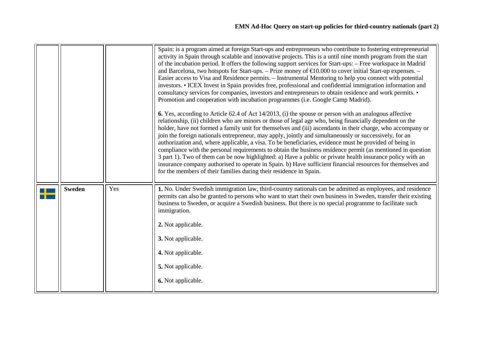<span id="page-13-0"></span>

|               |     | Spain: is a program aimed at foreign Start-ups and entrepreneurs who contribute to fostering entrepreneurial<br>activity in Spain through scalable and innovative projects. This is a until nine month program from the start<br>of the incubation period. It offers the following support services for Start-ups: - Free workspace in Madrid<br>and Barcelona, two hotspots for Start-ups. – Prize money of $\text{\textsterling}0.000$ to cover initial Start-up expenses. –<br>Easier access to Visa and Residence permits. – Instrumental Mentoring to help you connect with potential<br>investors. • ICEX Invest in Spain provides free, professional and confidential immigration information and<br>consultancy services for companies, investors and entrepreneurs to obtain residence and work permits. •<br>Promotion and cooperation with incubation programmes (i.e. Google Camp Madrid).<br>6. Yes, according to Article 62.4 of Act 14/2013, (i) the spouse or person with an analogous affective<br>relationship, (ii) children who are minors or those of legal age who, being financially dependent on the<br>holder, have not formed a family unit for themselves and (iii) ascendants in their charge, who accompany or<br>join the foreign nationals entrepreneur, may apply, jointly and simultaneously or successively, for an<br>authorization and, where applicable, a visa. To be beneficiaries, evidence must be provided of being in<br>compliance with the personal requirements to obtain the business residence permit (as mentioned in question<br>3 part 1). Two of them can be now highlighted: a) Have a public or private health insurance policy with an<br>insurance company authorised to operate in Spain. b) Have sufficient financial resources for themselves and<br>for the members of their families during their residence in Spain. |
|---------------|-----|------------------------------------------------------------------------------------------------------------------------------------------------------------------------------------------------------------------------------------------------------------------------------------------------------------------------------------------------------------------------------------------------------------------------------------------------------------------------------------------------------------------------------------------------------------------------------------------------------------------------------------------------------------------------------------------------------------------------------------------------------------------------------------------------------------------------------------------------------------------------------------------------------------------------------------------------------------------------------------------------------------------------------------------------------------------------------------------------------------------------------------------------------------------------------------------------------------------------------------------------------------------------------------------------------------------------------------------------------------------------------------------------------------------------------------------------------------------------------------------------------------------------------------------------------------------------------------------------------------------------------------------------------------------------------------------------------------------------------------------------------------------------------------------------------------------------------------------------------------------------------------|
| <b>Sweden</b> | Yes | 1. No. Under Swedish immigration law, third-country nationals can be admitted as employees, and residence<br>permits can also be granted to persons who want to start their own business in Sweden, transfer their existing<br>business to Sweden, or acquire a Swedish business. But there is no special programme to facilitate such<br>immigration.<br>2. Not applicable.<br>3. Not applicable.<br>4. Not applicable.<br>5. Not applicable.<br>6. Not applicable.                                                                                                                                                                                                                                                                                                                                                                                                                                                                                                                                                                                                                                                                                                                                                                                                                                                                                                                                                                                                                                                                                                                                                                                                                                                                                                                                                                                                               |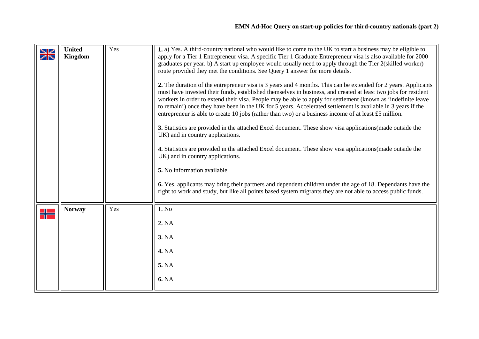<span id="page-14-1"></span><span id="page-14-0"></span>

| $\blacktriangleright$<br>$\overline{\mathbb{Z}}\nabla$ | <b>United</b><br>Kingdom | Yes | 1. a) Yes. A third-country national who would like to come to the UK to start a business may be eligible to<br>apply for a Tier 1 Entrepreneur visa. A specific Tier 1 Graduate Entrepreneur visa is also available for 2000<br>graduates per year. b) A start up employee would usually need to apply through the Tier 2(skilled worker)<br>route provided they met the conditions. See Query 1 answer for more details.<br>2. The duration of the entrepreneur visa is 3 years and 4 months. This can be extended for 2 years. Applicants<br>must have invested their funds, established themselves in business, and created at least two jobs for resident<br>workers in order to extend their visa. People may be able to apply for settlement (known as 'indefinite leave<br>to remain') once they have been in the UK for 5 years. Accelerated settlement is available in 3 years if the<br>entrepreneur is able to create 10 jobs (rather than two) or a business income of at least £5 million.<br>3. Statistics are provided in the attached Excel document. These show visa applications(made outside the<br>UK) and in country applications.<br>4. Statistics are provided in the attached Excel document. These show visa applications (made outside the<br>UK) and in country applications.<br>5. No information available<br>6. Yes, applicants may bring their partners and dependent children under the age of 18. Dependants have the<br>right to work and study, but like all points based system migrants they are not able to access public funds. |
|--------------------------------------------------------|--------------------------|-----|------------------------------------------------------------------------------------------------------------------------------------------------------------------------------------------------------------------------------------------------------------------------------------------------------------------------------------------------------------------------------------------------------------------------------------------------------------------------------------------------------------------------------------------------------------------------------------------------------------------------------------------------------------------------------------------------------------------------------------------------------------------------------------------------------------------------------------------------------------------------------------------------------------------------------------------------------------------------------------------------------------------------------------------------------------------------------------------------------------------------------------------------------------------------------------------------------------------------------------------------------------------------------------------------------------------------------------------------------------------------------------------------------------------------------------------------------------------------------------------------------------------------------------------------------------------------|
| $\Rightarrow$                                          | <b>Norway</b>            | Yes | 1. No<br>2. NA<br><b>3. NA</b><br><b>4. NA</b><br>5. NA<br><b>6. NA</b>                                                                                                                                                                                                                                                                                                                                                                                                                                                                                                                                                                                                                                                                                                                                                                                                                                                                                                                                                                                                                                                                                                                                                                                                                                                                                                                                                                                                                                                                                                |